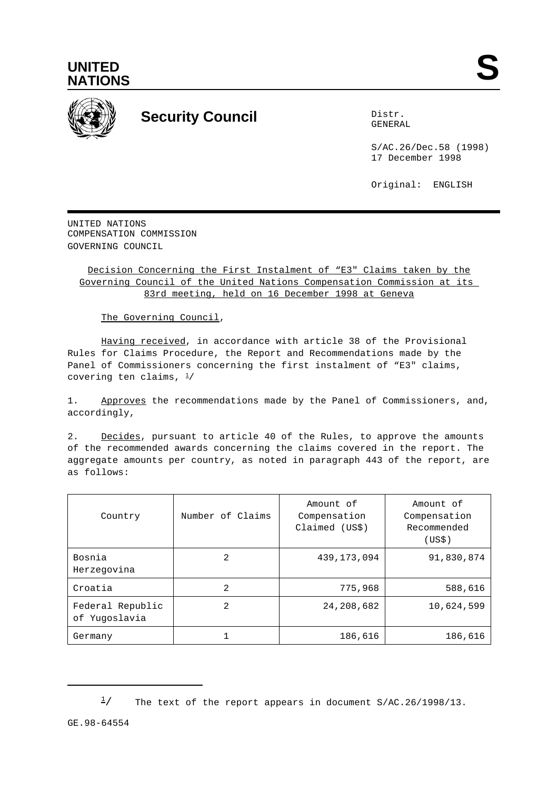



## **Security Council** Distribution Distribution of Distribution Distribution Distribution Distribution Distribution Distribution Distribution Distribution Distribution Distribution Distribution Distribution Distribution Distr

GENERAL

S/AC.26/Dec.58 (1998) 17 December 1998

Original: ENGLISH

UNITED NATIONS COMPENSATION COMMISSION GOVERNING COUNCIL

## Decision Concerning the First Instalment of "E3" Claims taken by the Governing Council of the United Nations Compensation Commission at its 83rd meeting, held on 16 December 1998 at Geneva

The Governing Council,

Having received, in accordance with article 38 of the Provisional Rules for Claims Procedure, the Report and Recommendations made by the Panel of Commissioners concerning the first instalment of "E3" claims, covering ten claims,  $\frac{1}{2}$ 

1. Approves the recommendations made by the Panel of Commissioners, and, accordingly,

2. Decides, pursuant to article 40 of the Rules, to approve the amounts of the recommended awards concerning the claims covered in the report. The aggregate amounts per country, as noted in paragraph 443 of the report, are as follows:

| Country                           | Number of Claims | Amount of<br>Compensation<br>Claimed (US\$) | Amount of<br>Compensation<br>Recommended<br>(USS) |
|-----------------------------------|------------------|---------------------------------------------|---------------------------------------------------|
| Bosnia<br>Herzegovina             | 2                | 439, 173, 094                               | 91,830,874                                        |
| Croatia                           | 2                | 775,968                                     | 588,616                                           |
| Federal Republic<br>of Yugoslavia | 2                | 24,208,682                                  | 10,624,599                                        |
| Germany                           |                  | 186,616                                     | 186,616                                           |

GE.98-64554

 $\frac{1}{2}$  The text of the report appears in document S/AC.26/1998/13.